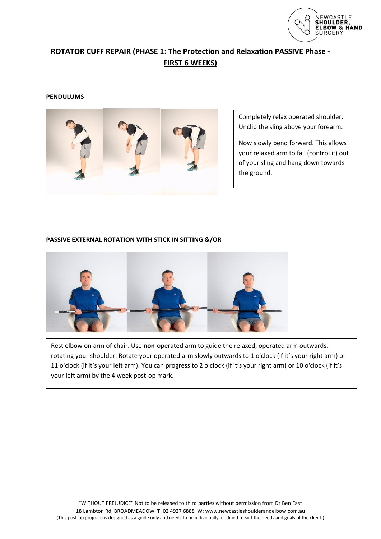

# **ROTATOR CUFF REPAIR (PHASE 1: The Protection and Relaxation PASSIVE Phase - FIRST 6 WEEKS)**

### **PENDULUMS**



Completely relax operated shoulder. Unclip the sling above your forearm.

Now slowly bend forward. This allows your relaxed arm to fall (control it) out of your sling and hang down towards the ground.

### **PASSIVE EXTERNAL ROTATION WITH STICK IN SITTING &/OR**



 $K_{\rm eff}$  elements if the cushion from body as if the cushion from the sling is still the sling is still the sling is still the sling is still the sling is still the sling is still the sling is still the sling is still the

Rest elbow on arm of chair. Use **non**-operated arm to guide the relaxed, operated arm outwards, rotating your shoulder. Rotate your operated arm slowly outwards to 1 o'clock (if it's your right arm) or 11 o'clock (if it's your left arm). You can progress to 2 o'clock (if it's your right arm) or 10 o'clock (if it's your left arm) by the 4 week post-op mark.